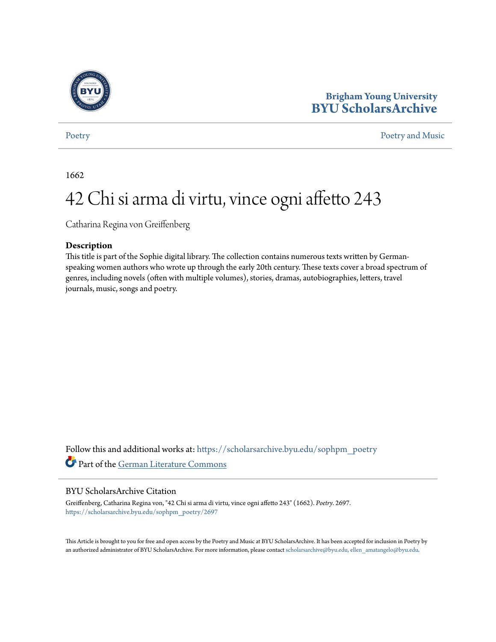

# **Brigham Young University [BYU ScholarsArchive](https://scholarsarchive.byu.edu?utm_source=scholarsarchive.byu.edu%2Fsophpm_poetry%2F2697&utm_medium=PDF&utm_campaign=PDFCoverPages)**

### [Poetry](https://scholarsarchive.byu.edu/sophpm_poetry?utm_source=scholarsarchive.byu.edu%2Fsophpm_poetry%2F2697&utm_medium=PDF&utm_campaign=PDFCoverPages) and Music [Poetry and Music](https://scholarsarchive.byu.edu/sophpm?utm_source=scholarsarchive.byu.edu%2Fsophpm_poetry%2F2697&utm_medium=PDF&utm_campaign=PDFCoverPages) Poetry and Music Poetry and Music Poetry and Music Poetry and Music Poetry and Music Poetry and Music Poetry and Music Poetry and Music Poetry and Music Poetry and Music Poetry and Music P

1662

# 42 Chi si arma di virtu, vince ogni affetto 243

Catharina Regina von Greiffenberg

### **Description**

This title is part of the Sophie digital library. The collection contains numerous texts written by Germanspeaking women authors who wrote up through the early 20th century. These texts cover a broad spectrum of genres, including novels (often with multiple volumes), stories, dramas, autobiographies, letters, travel journals, music, songs and poetry.

Follow this and additional works at: [https://scholarsarchive.byu.edu/sophpm\\_poetry](https://scholarsarchive.byu.edu/sophpm_poetry?utm_source=scholarsarchive.byu.edu%2Fsophpm_poetry%2F2697&utm_medium=PDF&utm_campaign=PDFCoverPages) Part of the [German Literature Commons](http://network.bepress.com/hgg/discipline/469?utm_source=scholarsarchive.byu.edu%2Fsophpm_poetry%2F2697&utm_medium=PDF&utm_campaign=PDFCoverPages)

### BYU ScholarsArchive Citation

Greiffenberg, Catharina Regina von, "42 Chi si arma di virtu, vince ogni affetto 243" (1662). *Poetry*. 2697. [https://scholarsarchive.byu.edu/sophpm\\_poetry/2697](https://scholarsarchive.byu.edu/sophpm_poetry/2697?utm_source=scholarsarchive.byu.edu%2Fsophpm_poetry%2F2697&utm_medium=PDF&utm_campaign=PDFCoverPages)

This Article is brought to you for free and open access by the Poetry and Music at BYU ScholarsArchive. It has been accepted for inclusion in Poetry by an authorized administrator of BYU ScholarsArchive. For more information, please contact [scholarsarchive@byu.edu, ellen\\_amatangelo@byu.edu](mailto:scholarsarchive@byu.edu,%20ellen_amatangelo@byu.edu).